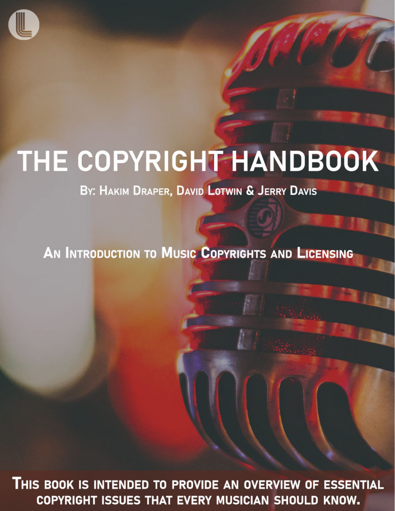

# THE COPYRIGHT HANDBOOK

BY: HAKIM DRAPER, DAVID LOTWIN & JERRY DAVIS

AN INTRODUCTION TO MUSIC COPYRIGHTS AND LICENSING

THIS BOOK IS INTENDED TO PROVIDE AN OVERVIEW OF ESSENTIAL COPYRIGHT ISSUES THAT EVERY MUSICIAN SHOULD KNOW.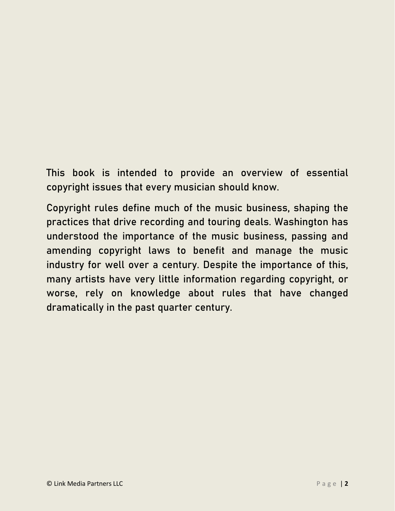This book is intended to provide an overview of essential copyright issues that every musician should know.

Copyright rules define much of the music business, shaping the practices that drive recording and touring deals. Washington has understood the importance of the music business, passing and amending copyright laws to benefit and manage the music industry for well over a century. Despite the importance of this, many artists have very little information regarding copyright, or worse, rely on knowledge about rules that have changed dramatically in the past quarter century.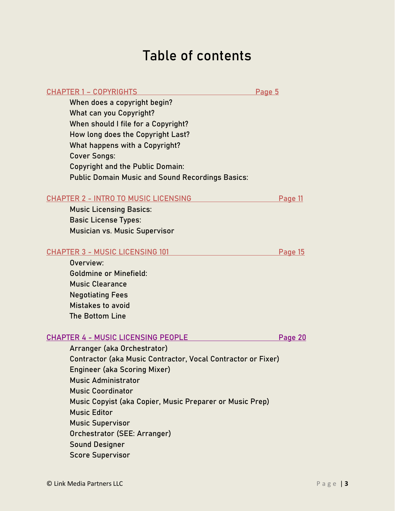## Table of contents

| When does a copyright begin?<br><b>What can you Copyright?</b><br>When should I file for a Copyright?<br>How long does the Copyright Last?<br>What happens with a Copyright?<br><b>Cover Songs:</b><br><b>Copyright and the Public Domain:</b><br><b>Public Domain Music and Sound Recordings Basics:</b> |                |
|-----------------------------------------------------------------------------------------------------------------------------------------------------------------------------------------------------------------------------------------------------------------------------------------------------------|----------------|
| <b>CHAPTER 2 - INTRO TO MUSIC LICENSING</b>                                                                                                                                                                                                                                                               | Page 11        |
| <b>Music Licensing Basics:</b>                                                                                                                                                                                                                                                                            |                |
| <b>Basic License Types:</b>                                                                                                                                                                                                                                                                               |                |
| Musician vs. Music Supervisor                                                                                                                                                                                                                                                                             |                |
| <b>CHAPTER 3 - MUSIC LICENSING 101</b>                                                                                                                                                                                                                                                                    | <b>Page 15</b> |
| Overview:                                                                                                                                                                                                                                                                                                 |                |
| <b>Goldmine or Minefield:</b>                                                                                                                                                                                                                                                                             |                |
| <b>Music Clearance</b>                                                                                                                                                                                                                                                                                    |                |
| <b>Negotiating Fees</b>                                                                                                                                                                                                                                                                                   |                |
| Mistakes to avoid                                                                                                                                                                                                                                                                                         |                |
| The Bottom Line                                                                                                                                                                                                                                                                                           |                |
| <b>CHAPTER 4 - MUSIC LICENSING PEOPLE</b>                                                                                                                                                                                                                                                                 | Page 20        |
| Arranger (aka Orchestrator)                                                                                                                                                                                                                                                                               |                |
| Contractor (aka Music Contractor, Vocal Contractor or Fixer)                                                                                                                                                                                                                                              |                |
| <b>Engineer (aka Scoring Mixer)</b>                                                                                                                                                                                                                                                                       |                |
| <b>Music Administrator</b>                                                                                                                                                                                                                                                                                |                |
| <b>Music Coordinator</b>                                                                                                                                                                                                                                                                                  |                |

Music Copyist (aka Copier, Music Preparer or Music Prep)

CHAPTER 1 – [COPYRIGHTS](#page-4-0) Page 5

#### Orchestrator (SEE: Arranger) Sound Designer

Music Editor

Score Supervisor

Music Supervisor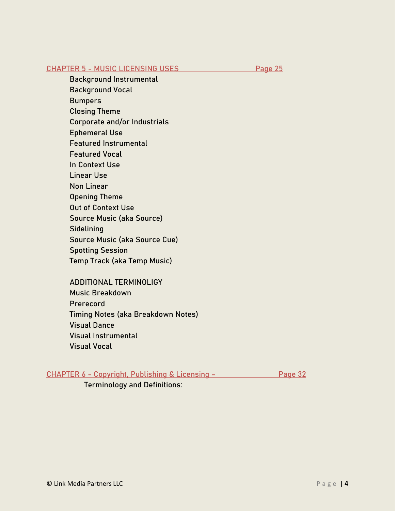#### CHAPTER 5 - [MUSIC LICENSING USES](#page-24-0) Page 25

Background Instrumental

Background Vocal

**Bumpers** 

Closing Theme

Corporate and/or Industrials

Ephemeral Use

Featured Instrumental

Featured Vocal

In Context Use

Linear Use

Non Linear

Opening Theme

Out of Context Use

Source Music (aka Source)

**Sidelining** 

Source Music (aka Source Cue)

Spotting Session

Temp Track (aka Temp Music)

ADDITIONAL TERMINOLIGY Music Breakdown Prerecord Timing Notes (aka Breakdown Notes) Visual Dance Visual Instrumental Visual Vocal

#### CHAPTER 6 - Copyright, Publishing & Licensing - Page 32

Terminology and Definitions: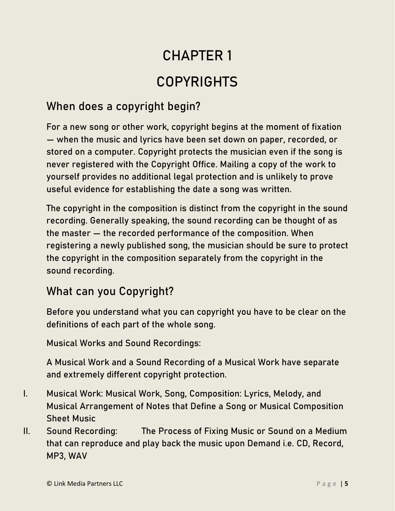## CHAPTER 1 COPYRIGHTS

### <span id="page-4-0"></span>When does a copyright begin?

For a new song or other work, copyright begins at the moment of fixation — when the music and lyrics have been set down on paper, recorded, or stored on a computer. Copyright protects the musician even if the song is never registered with the Copyright Office. Mailing a copy of the work to yourself provides no additional legal protection and is unlikely to prove useful evidence for establishing the date a song was written.

The copyright in the composition is distinct from the copyright in the sound recording. Generally speaking, the sound recording can be thought of as the master — the recorded performance of the composition. When registering a newly published song, the musician should be sure to protect the copyright in the composition separately from the copyright in the sound recording.

#### What can you Copyright?

Before you understand what you can copyright you have to be clear on the definitions of each part of the whole song.

Musical Works and Sound Recordings:

A Musical Work and a Sound Recording of a Musical Work have separate and extremely different copyright protection.

- I. Musical Work: Musical Work, Song, Composition: Lyrics, Melody, and Musical Arrangement of Notes that Define a Song or Musical Composition Sheet Music
- II. Sound Recording: The Process of Fixing Music or Sound on a Medium that can reproduce and play back the music upon Demand i.e. CD, Record, MP3, WAV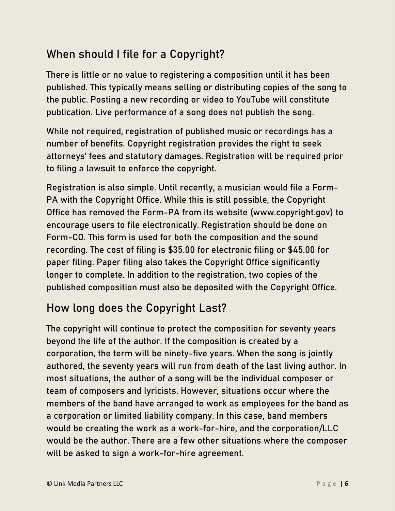### When should I file for a Copyright?

There is little or no value to registering a composition until it has been published. This typically means selling or distributing copies of the song to the public. Posting a new recording or video to YouTube will constitute publication. Live performance of a song does not publish the song.

While not required, registration of published music or recordings has a number of benefits. Copyright registration provides the right to seek attorneys' fees and statutory damages. Registration will be required prior to filing a lawsuit to enforce the copyright.

Registration is also simple. Until recently, a musician would file a Form-PA with the Copyright Office. While this is still possible, the Copyright Office has removed the Form-PA from its website (www.copyright.gov) to encourage users to file electronically. Registration should be done on Form-CO. This form is used for both the composition and the sound recording. The cost of filing is \$35.00 for electronic filing or \$45.00 for paper filing. Paper filing also takes the Copyright Office significantly longer to complete. In addition to the registration, two copies of the published composition must also be deposited with the Copyright Office.

### How long does the Copyright Last?

The copyright will continue to protect the composition for seventy years beyond the life of the author. If the composition is created by a corporation, the term will be ninety-five years. When the song is jointly authored, the seventy years will run from death of the last living author. In most situations, the author of a song will be the individual composer or team of composers and lyricists. However, situations occur where the members of the band have arranged to work as employees for the band as a corporation or limited liability company. In this case, band members would be creating the work as a work-for-hire, and the corporation/LLC would be the author. There are a few other situations where the composer will be asked to sign a work-for-hire agreement.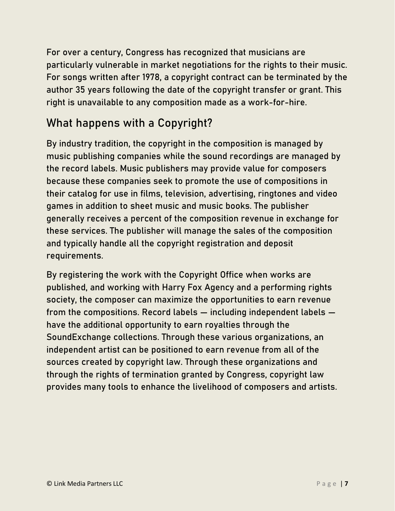For over a century, Congress has recognized that musicians are particularly vulnerable in market negotiations for the rights to their music. For songs written after 1978, a copyright contract can be terminated by the author 35 years following the date of the copyright transfer or grant. This right is unavailable to any composition made as a work-for-hire.

#### What happens with a Copyright?

By industry tradition, the copyright in the composition is managed by music publishing companies while the sound recordings are managed by the record labels. Music publishers may provide value for composers because these companies seek to promote the use of compositions in their catalog for use in films, television, advertising, ringtones and video games in addition to sheet music and music books. The publisher generally receives a percent of the composition revenue in exchange for these services. The publisher will manage the sales of the composition and typically handle all the copyright registration and deposit requirements.

By registering the work with the Copyright Office when works are published, and working with Harry Fox Agency and a performing rights society, the composer can maximize the opportunities to earn revenue from the compositions. Record labels — including independent labels have the additional opportunity to earn royalties through the SoundExchange collections. Through these various organizations, an independent artist can be positioned to earn revenue from all of the sources created by copyright law. Through these organizations and through the rights of termination granted by Congress, copyright law provides many tools to enhance the livelihood of composers and artists.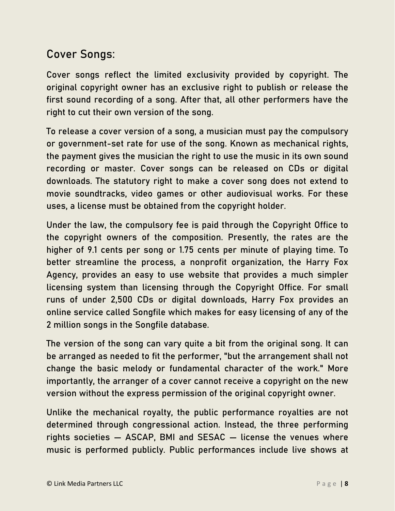#### Cover Songs:

Cover songs reflect the limited exclusivity provided by copyright. The original copyright owner has an exclusive right to publish or release the first sound recording of a song. After that, all other performers have the right to cut their own version of the song.

To release a cover version of a song, a musician must pay the compulsory or government-set rate for use of the song. Known as mechanical rights, the payment gives the musician the right to use the music in its own sound recording or master. Cover songs can be released on CDs or digital downloads. The statutory right to make a cover song does not extend to movie soundtracks, video games or other audiovisual works. For these uses, a license must be obtained from the copyright holder.

Under the law, the compulsory fee is paid through the Copyright Office to the copyright owners of the composition. Presently, the rates are the higher of 9.1 cents per song or 1.75 cents per minute of playing time. To better streamline the process, a nonprofit organization, the Harry Fox Agency, provides an easy to use website that provides a much simpler licensing system than licensing through the Copyright Office. For small runs of under 2,500 CDs or digital downloads, Harry Fox provides an online service called Songfile which makes for easy licensing of any of the 2 million songs in the Songfile database.

The version of the song can vary quite a bit from the original song. It can be arranged as needed to fit the performer, "but the arrangement shall not change the basic melody or fundamental character of the work." More importantly, the arranger of a cover cannot receive a copyright on the new version without the express permission of the original copyright owner.

Unlike the mechanical royalty, the public performance royalties are not determined through congressional action. Instead, the three performing rights societies — ASCAP, BMI and SESAC — license the venues where music is performed publicly. Public performances include live shows at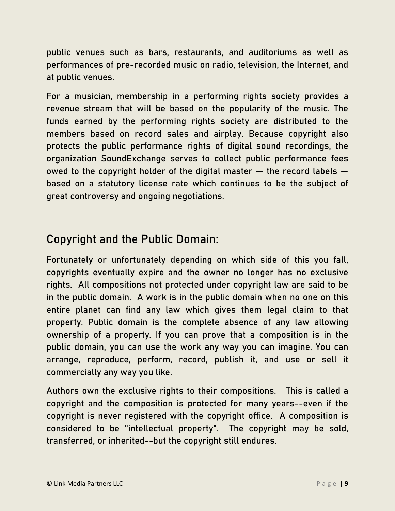public venues such as bars, restaurants, and auditoriums as well as performances of pre-recorded music on radio, television, the Internet, and at public venues.

For a musician, membership in a performing rights society provides a revenue stream that will be based on the popularity of the music. The funds earned by the performing rights society are distributed to the members based on record sales and airplay. Because copyright also protects the public performance rights of digital sound recordings, the organization SoundExchange serves to collect public performance fees owed to the copyright holder of the digital master — the record labels based on a statutory license rate which continues to be the subject of great controversy and ongoing negotiations.

#### Copyright and the Public Domain:

Fortunately or unfortunately depending on which side of this you fall, copyrights eventually expire and the owner no longer has no exclusive rights. All compositions not protected under copyright law are said to be in the public domain. A work is in the public domain when no one on this entire planet can find any law which gives them legal claim to that property. Public domain is the complete absence of any law allowing ownership of a property. If you can prove that a composition is in the public domain, you can use the work any way you can imagine. You can arrange, reproduce, perform, record, publish it, and use or sell it commercially any way you like.

Authors own the exclusive rights to their compositions. This is called a copyright and the composition is protected for many years--even if the copyright is never registered with the copyright office. A composition is considered to be "intellectual property". The copyright may be sold, transferred, or inherited--but the copyright still endures.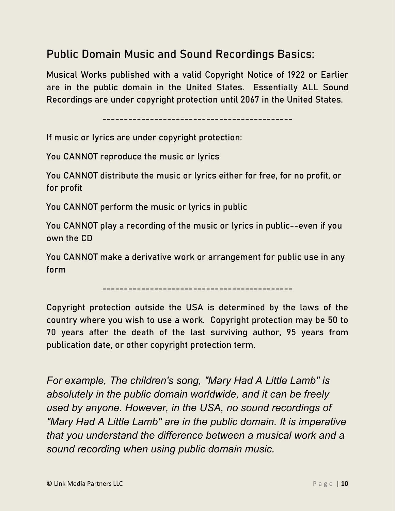#### Public Domain Music and Sound Recordings Basics:

Musical Works published with a valid Copyright Notice of 1922 or Earlier are in the public domain in the United States. Essentially ALL Sound Recordings are under copyright protection until 2067 in the United States.

--------------------------------------------

If music or lyrics are under copyright protection:

You CANNOT reproduce the music or lyrics

You CANNOT distribute the music or lyrics either for free, for no profit, or for profit

You CANNOT perform the music or lyrics in public

You CANNOT play a recording of the music or lyrics in public--even if you own the CD

You CANNOT make a derivative work or arrangement for public use in any form

--------------------------------------------

Copyright protection outside the USA is determined by the laws of the country where you wish to use a work. Copyright protection may be 50 to 70 years after the death of the last surviving author, 95 years from publication date, or other copyright protection term.

*For example, The children's song, "Mary Had A Little Lamb" is absolutely in the public domain worldwide, and it can be freely used by anyone. However, in the USA, no sound recordings of "Mary Had A Little Lamb" are in the public domain. It is imperative that you understand the difference between a musical work and a sound recording when using public domain music.*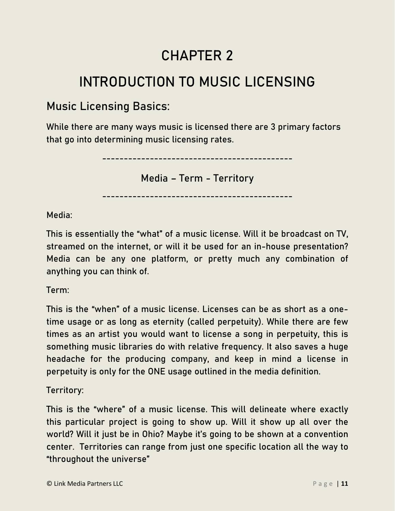## CHAPTER 2

## <span id="page-10-0"></span>INTRODUCTION TO MUSIC LICENSING

#### Music Licensing Basics:

While there are many ways music is licensed there are 3 primary factors that go into determining music licensing rates.

--------------------------------------------

Media – Term - Territory

--------------------------------------------

Media:

This is essentially the "what" of a music license. Will it be broadcast on TV, streamed on the internet, or will it be used for an in-house presentation? Media can be any one platform, or pretty much any combination of anything you can think of.

Term:

This is the "when" of a music license. Licenses can be as short as a onetime usage or as long as eternity (called perpetuity). While there are few times as an artist you would want to license a song in perpetuity, this is something music libraries do with relative frequency. It also saves a huge headache for the producing company, and keep in mind a license in perpetuity is only for the ONE usage outlined in the media definition.

Territory:

This is the "where" of a music license. This will delineate where exactly this particular project is going to show up. Will it show up all over the world? Will it just be in Ohio? Maybe it's going to be shown at a convention center. Territories can range from just one specific location all the way to "throughout the universe"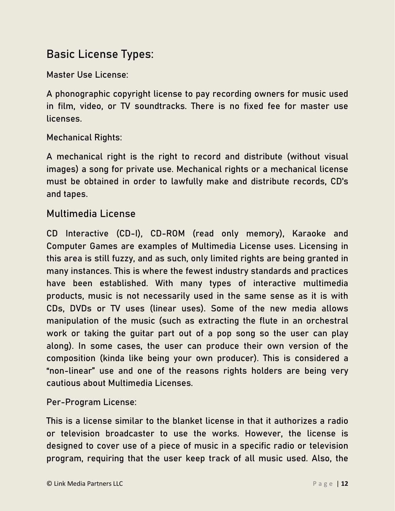#### Basic License Types:

Master Use License:

A phonographic copyright license to pay recording owners for music used in film, video, or TV soundtracks. There is no fixed fee for master use licenses.

#### Mechanical Rights:

A mechanical right is the right to record and distribute (without visual images) a song for private use. Mechanical rights or a mechanical license must be obtained in order to lawfully make and distribute records, CD's and tapes.

#### Multimedia License

CD Interactive (CD-I), CD-ROM (read only memory), Karaoke and Computer Games are examples of Multimedia License uses. Licensing in this area is still fuzzy, and as such, only limited rights are being granted in many instances. This is where the fewest industry standards and practices have been established. With many types of interactive multimedia products, music is not necessarily used in the same sense as it is with CDs, DVDs or TV uses (linear uses). Some of the new media allows manipulation of the music (such as extracting the flute in an orchestral work or taking the guitar part out of a pop song so the user can play along). In some cases, the user can produce their own version of the composition (kinda like being your own producer). This is considered a "non-linear" use and one of the reasons rights holders are being very cautious about Multimedia Licenses.

Per-Program License:

This is a license similar to the blanket license in that it authorizes a radio or television broadcaster to use the works. However, the license is designed to cover use of a piece of music in a specific radio or television program, requiring that the user keep track of all music used. Also, the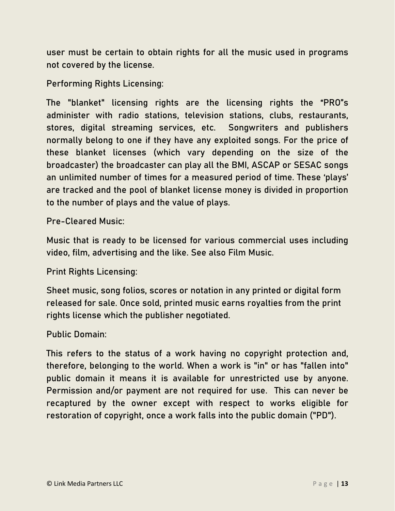user must be certain to obtain rights for all the music used in programs not covered by the license.

Performing Rights Licensing:

The "blanket" licensing rights are the licensing rights the "PRO"s administer with radio stations, television stations, clubs, restaurants, stores, digital streaming services, etc. Songwriters and publishers normally belong to one if they have any exploited songs. For the price of these blanket licenses (which vary depending on the size of the broadcaster) the broadcaster can play all the BMI, ASCAP or SESAC songs an unlimited number of times for a measured period of time. These 'plays' are tracked and the pool of blanket license money is divided in proportion to the number of plays and the value of plays.

Pre-Cleared Music:

Music that is ready to be licensed for various commercial uses including video, film, advertising and the like. See also Film Music.

Print Rights Licensing:

Sheet music, song folios, scores or notation in any printed or digital form released for sale. Once sold, printed music earns royalties from the print rights license which the publisher negotiated.

Public Domain:

This refers to the status of a work having no copyright protection and, therefore, belonging to the world. When a work is "in" or has "fallen into" public domain it means it is available for unrestricted use by anyone. Permission and/or payment are not required for use. This can never be recaptured by the owner except with respect to works eligible for restoration of copyright, once a work falls into the public domain ("PD").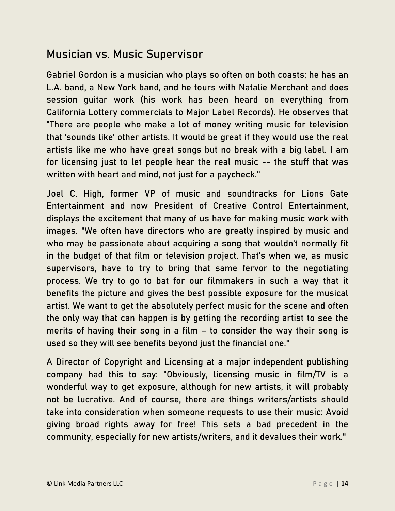#### Musician vs. Music Supervisor

Gabriel Gordon is a musician who plays so often on both coasts; he has an L.A. band, a New York band, and he tours with Natalie Merchant and does session guitar work (his work has been heard on everything from California Lottery commercials to Major Label Records). He observes that "There are people who make a lot of money writing music for television that 'sounds like' other artists. It would be great if they would use the real artists like me who have great songs but no break with a big label. I am for licensing just to let people hear the real music -- the stuff that was written with heart and mind, not just for a paycheck."

Joel C. High, former VP of music and soundtracks for Lions Gate Entertainment and now President of Creative Control Entertainment, displays the excitement that many of us have for making music work with images. "We often have directors who are greatly inspired by music and who may be passionate about acquiring a song that wouldn't normally fit in the budget of that film or television project. That's when we, as music supervisors, have to try to bring that same fervor to the negotiating process. We try to go to bat for our filmmakers in such a way that it benefits the picture and gives the best possible exposure for the musical artist. We want to get the absolutely perfect music for the scene and often the only way that can happen is by getting the recording artist to see the merits of having their song in a film – to consider the way their song is used so they will see benefits beyond just the financial one."

A Director of Copyright and Licensing at a major independent publishing company had this to say: "Obviously, licensing music in film/TV is a wonderful way to get exposure, although for new artists, it will probably not be lucrative. And of course, there are things writers/artists should take into consideration when someone requests to use their music: Avoid giving broad rights away for free! This sets a bad precedent in the community, especially for new artists/writers, and it devalues their work."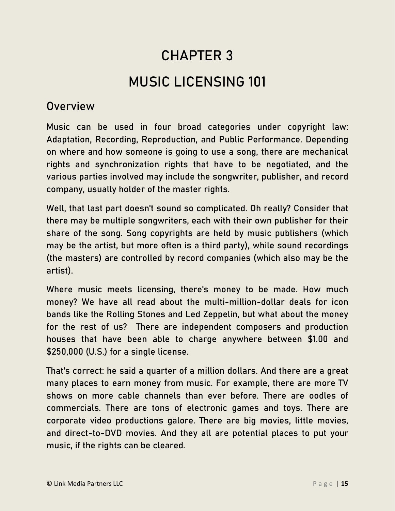## CHAPTER 3 MUSIC LICENSING 101

#### <span id="page-14-0"></span>Overview

Music can be used in four broad categories under copyright law: Adaptation, Recording, Reproduction, and Public Performance. Depending on where and how someone is going to use a song, there are mechanical rights and synchronization rights that have to be negotiated, and the various parties involved may include the songwriter, publisher, and record company, usually holder of the master rights.

Well, that last part doesn't sound so complicated. Oh really? Consider that there may be multiple songwriters, each with their own publisher for their share of the song. Song copyrights are held by music publishers (which may be the artist, but more often is a third party), while sound recordings (the masters) are controlled by record companies (which also may be the artist).

Where music meets licensing, there's money to be made. How much money? We have all read about the multi-million-dollar deals for icon bands like the Rolling Stones and Led Zeppelin, but what about the money for the rest of us? There are independent composers and production houses that have been able to charge anywhere between \$1.00 and \$250,000 (U.S.) for a single license.

That's correct: he said a quarter of a million dollars. And there are a great many places to earn money from music. For example, there are more TV shows on more cable channels than ever before. There are oodles of commercials. There are tons of electronic games and toys. There are corporate video productions galore. There are big movies, little movies, and direct-to-DVD movies. And they all are potential places to put your music, if the rights can be cleared.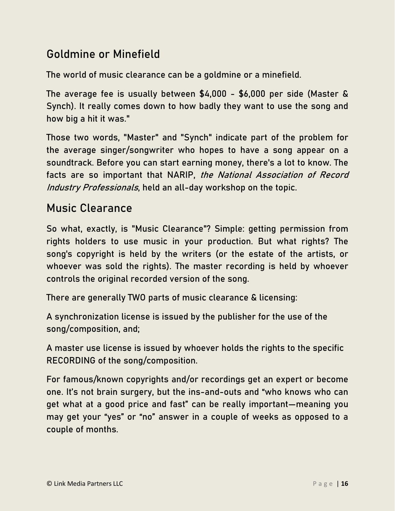#### Goldmine or Minefield

The world of music clearance can be a goldmine or a minefield.

The average fee is usually between \$4,000 - \$6,000 per side (Master & Synch). It really comes down to how badly they want to use the song and how big a hit it was."

Those two words, "Master" and "Synch" indicate part of the problem for the average singer/songwriter who hopes to have a song appear on a soundtrack. Before you can start earning money, there's a lot to know. The facts are so important that NARIP, the National Association of Record Industry Professionals, held an all-day workshop on the topic.

#### Music Clearance

So what, exactly, is "Music Clearance"? Simple: getting permission from rights holders to use music in your production. But what rights? The song's copyright is held by the writers (or the estate of the artists, or whoever was sold the rights). The master recording is held by whoever controls the original recorded version of the song.

There are generally TWO parts of music clearance & licensing:

A synchronization license is issued by the publisher for the use of the song/composition, and;

A master use license is issued by whoever holds the rights to the specific RECORDING of the song/composition.

For famous/known copyrights and/or recordings get an expert or become one. It's not brain surgery, but the ins-and-outs and "who knows who can get what at a good price and fast" can be really important—meaning you may get your "yes" or "no" answer in a couple of weeks as opposed to a couple of months.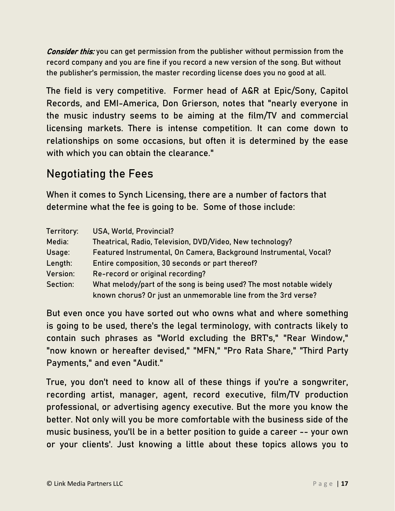*Consider this:* you can get permission from the publisher without permission from the record company and you are fine if you record a new version of the song. But without the publisher's permission, the master recording license does you no good at all.

The field is very competitive. Former head of A&R at Epic/Sony, Capitol Records, and EMI-America, Don Grierson, notes that "nearly everyone in the music industry seems to be aiming at the film/TV and commercial licensing markets. There is intense competition. It can come down to relationships on some occasions, but often it is determined by the ease with which you can obtain the clearance."

#### Negotiating the Fees

When it comes to Synch Licensing, there are a number of factors that determine what the fee is going to be. Some of those include:

| Territory: | USA, World, Provincial?                                             |
|------------|---------------------------------------------------------------------|
| Media:     | Theatrical, Radio, Television, DVD/Video, New technology?           |
| Usage:     | Featured Instrumental, On Camera, Background Instrumental, Vocal?   |
| Length:    | Entire composition, 30 seconds or part thereof?                     |
| Version:   | Re-record or original recording?                                    |
| Section:   | What melody/part of the song is being used? The most notable widely |
|            | known chorus? Or just an unmemorable line from the 3rd verse?       |

But even once you have sorted out who owns what and where something is going to be used, there's the legal terminology, with contracts likely to contain such phrases as "World excluding the BRT's," "Rear Window," "now known or hereafter devised," "MFN," "Pro Rata Share," "Third Party Payments," and even "Audit."

True, you don't need to know all of these things if you're a songwriter, recording artist, manager, agent, record executive, film/TV production professional, or advertising agency executive. But the more you know the better. Not only will you be more comfortable with the business side of the music business, you'll be in a better position to guide a career -- your own or your clients'. Just knowing a little about these topics allows you to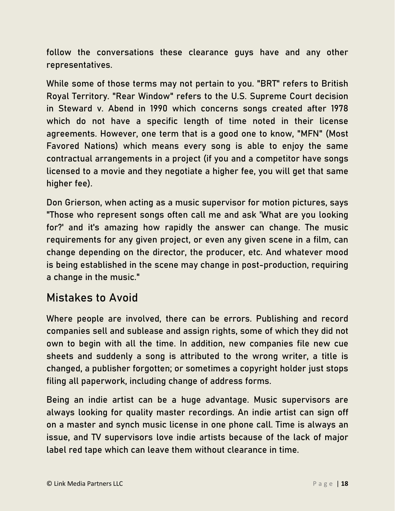follow the conversations these clearance guys have and any other representatives.

While some of those terms may not pertain to you. "BRT" refers to British Royal Territory. "Rear Window" refers to the U.S. Supreme Court decision in Steward v. Abend in 1990 which concerns songs created after 1978 which do not have a specific length of time noted in their license agreements. However, one term that is a good one to know, "MFN" (Most Favored Nations) which means every song is able to enjoy the same contractual arrangements in a project (if you and a competitor have songs licensed to a movie and they negotiate a higher fee, you will get that same higher fee).

Don Grierson, when acting as a music supervisor for motion pictures, says "Those who represent songs often call me and ask 'What are you looking for?' and it's amazing how rapidly the answer can change. The music requirements for any given project, or even any given scene in a film, can change depending on the director, the producer, etc. And whatever mood is being established in the scene may change in post-production, requiring a change in the music."

#### Mistakes to Avoid

Where people are involved, there can be errors. Publishing and record companies sell and sublease and assign rights, some of which they did not own to begin with all the time. In addition, new companies file new cue sheets and suddenly a song is attributed to the wrong writer, a title is changed, a publisher forgotten; or sometimes a copyright holder just stops filing all paperwork, including change of address forms.

Being an indie artist can be a huge advantage. Music supervisors are always looking for quality master recordings. An indie artist can sign off on a master and synch music license in one phone call. Time is always an issue, and TV supervisors love indie artists because of the lack of major label red tape which can leave them without clearance in time.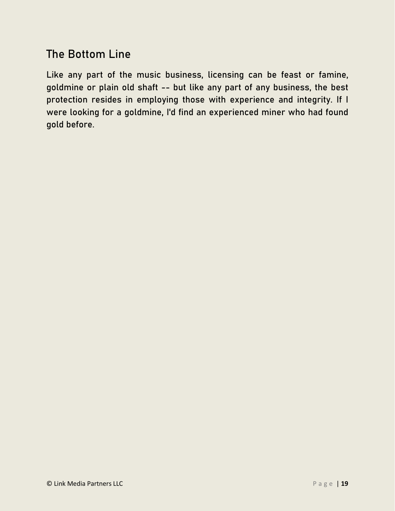#### The Bottom Line

Like any part of the music business, licensing can be feast or famine, goldmine or plain old shaft -- but like any part of any business, the best protection resides in employing those with experience and integrity. If I were looking for a goldmine, I'd find an experienced miner who had found gold before.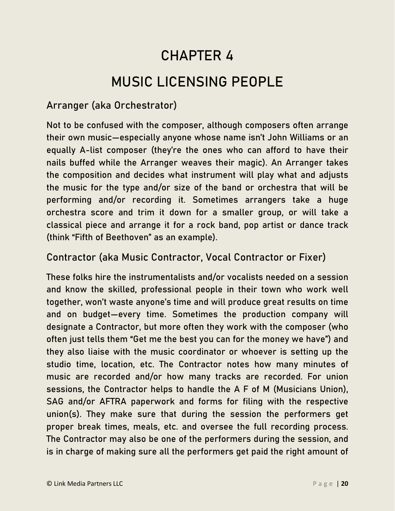## CHAPTER 4 MUSIC LICENSING PEOPLE

#### <span id="page-19-0"></span>Arranger (aka Orchestrator)

Not to be confused with the composer, although composers often arrange their own music—especially anyone whose name isn't John Williams or an equally A-list composer (they're the ones who can afford to have their nails buffed while the Arranger weaves their magic). An Arranger takes the composition and decides what instrument will play what and adjusts the music for the type and/or size of the band or orchestra that will be performing and/or recording it. Sometimes arrangers take a huge orchestra score and trim it down for a smaller group, or will take a classical piece and arrange it for a rock band, pop artist or dance track (think "Fifth of Beethoven" as an example).

#### Contractor (aka Music Contractor, Vocal Contractor or Fixer)

These folks hire the instrumentalists and/or vocalists needed on a session and know the skilled, professional people in their town who work well together, won't waste anyone's time and will produce great results on time and on budget—every time. Sometimes the production company will designate a Contractor, but more often they work with the composer (who often just tells them "Get me the best you can for the money we have") and they also liaise with the music coordinator or whoever is setting up the studio time, location, etc. The Contractor notes how many minutes of music are recorded and/or how many tracks are recorded. For union sessions, the Contractor helps to handle the A F of M (Musicians Union), SAG and/or AFTRA paperwork and forms for filing with the respective union(s). They make sure that during the session the performers get proper break times, meals, etc. and oversee the full recording process. The Contractor may also be one of the performers during the session, and is in charge of making sure all the performers get paid the right amount of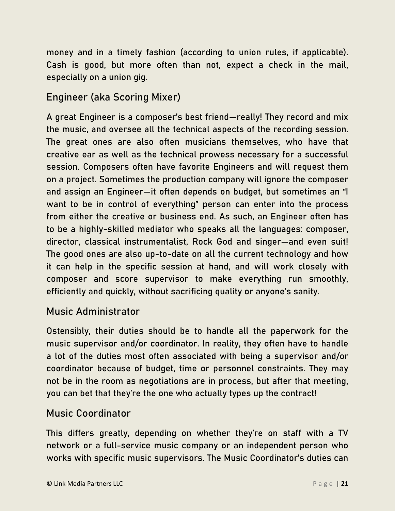money and in a timely fashion (according to union rules, if applicable). Cash is good, but more often than not, expect a check in the mail, especially on a union gig.

#### Engineer (aka Scoring Mixer)

A great Engineer is a composer's best friend—really! They record and mix the music, and oversee all the technical aspects of the recording session. The great ones are also often musicians themselves, who have that creative ear as well as the technical prowess necessary for a successful session. Composers often have favorite Engineers and will request them on a project. Sometimes the production company will ignore the composer and assign an Engineer—it often depends on budget, but sometimes an "I want to be in control of everything" person can enter into the process from either the creative or business end. As such, an Engineer often has to be a highly-skilled mediator who speaks all the languages: composer, director, classical instrumentalist, Rock God and singer—and even suit! The good ones are also up-to-date on all the current technology and how it can help in the specific session at hand, and will work closely with composer and score supervisor to make everything run smoothly, efficiently and quickly, without sacrificing quality or anyone's sanity.

#### Music Administrator

Ostensibly, their duties should be to handle all the paperwork for the music supervisor and/or coordinator. In reality, they often have to handle a lot of the duties most often associated with being a supervisor and/or coordinator because of budget, time or personnel constraints. They may not be in the room as negotiations are in process, but after that meeting, you can bet that they're the one who actually types up the contract!

#### Music Coordinator

This differs greatly, depending on whether they're on staff with a TV network or a full-service music company or an independent person who works with specific music supervisors. The Music Coordinator's duties can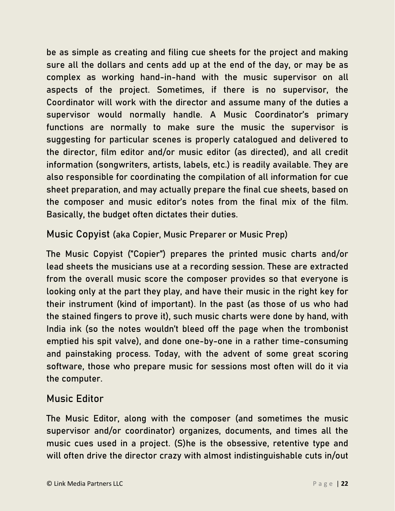be as simple as creating and filing cue sheets for the project and making sure all the dollars and cents add up at the end of the day, or may be as complex as working hand-in-hand with the music supervisor on all aspects of the project. Sometimes, if there is no supervisor, the Coordinator will work with the director and assume many of the duties a supervisor would normally handle. A Music Coordinator's primary functions are normally to make sure the music the supervisor is suggesting for particular scenes is properly catalogued and delivered to the director, film editor and/or music editor (as directed), and all credit information (songwriters, artists, labels, etc.) is readily available. They are also responsible for coordinating the compilation of all information for cue sheet preparation, and may actually prepare the final cue sheets, based on the composer and music editor's notes from the final mix of the film. Basically, the budget often dictates their duties.

Music Copyist (aka Copier, Music Preparer or Music Prep)

The Music Copyist ("Copier") prepares the printed music charts and/or lead sheets the musicians use at a recording session. These are extracted from the overall music score the composer provides so that everyone is looking only at the part they play, and have their music in the right key for their instrument (kind of important). In the past (as those of us who had the stained fingers to prove it), such music charts were done by hand, with India ink (so the notes wouldn't bleed off the page when the trombonist emptied his spit valve), and done one-by-one in a rather time-consuming and painstaking process. Today, with the advent of some great scoring software, those who prepare music for sessions most often will do it via the computer.

#### Music Editor

The Music Editor, along with the composer (and sometimes the music supervisor and/or coordinator) organizes, documents, and times all the music cues used in a project. (S)he is the obsessive, retentive type and will often drive the director crazy with almost indistinguishable cuts in/out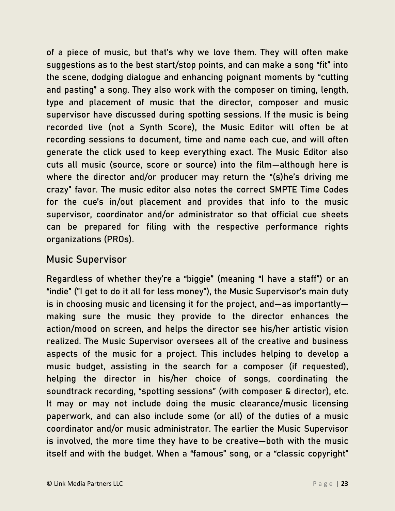of a piece of music, but that's why we love them. They will often make suggestions as to the best start/stop points, and can make a song "fit" into the scene, dodging dialogue and enhancing poignant moments by "cutting and pasting" a song. They also work with the composer on timing, length, type and placement of music that the director, composer and music supervisor have discussed during spotting sessions. If the music is being recorded live (not a Synth Score), the Music Editor will often be at recording sessions to document, time and name each cue, and will often generate the click used to keep everything exact. The Music Editor also cuts all music (source, score or source) into the film—although here is where the director and/or producer may return the "(s)he's driving me crazy" favor. The music editor also notes the correct SMPTE Time Codes for the cue's in/out placement and provides that info to the music supervisor, coordinator and/or administrator so that official cue sheets can be prepared for filing with the respective performance rights organizations (PROs).

#### Music Supervisor

Regardless of whether they're a "biggie" (meaning "I have a staff") or an "indie" ("I get to do it all for less money"), the Music Supervisor's main duty is in choosing music and licensing it for the project, and—as importantly making sure the music they provide to the director enhances the action/mood on screen, and helps the director see his/her artistic vision realized. The Music Supervisor oversees all of the creative and business aspects of the music for a project. This includes helping to develop a music budget, assisting in the search for a composer (if requested), helping the director in his/her choice of songs, coordinating the soundtrack recording, "spotting sessions" (with composer & director), etc. It may or may not include doing the music clearance/music licensing paperwork, and can also include some (or all) of the duties of a music coordinator and/or music administrator. The earlier the Music Supervisor is involved, the more time they have to be creative—both with the music itself and with the budget. When a "famous" song, or a "classic copyright"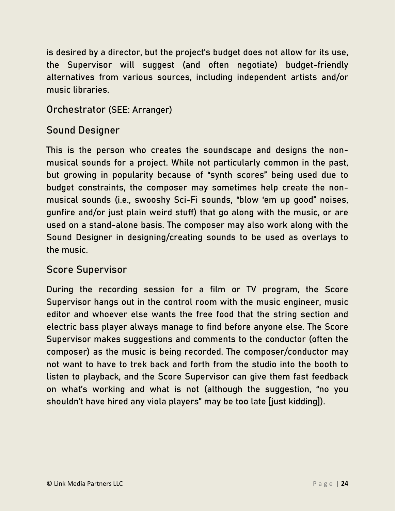is desired by a director, but the project's budget does not allow for its use, the Supervisor will suggest (and often negotiate) budget-friendly alternatives from various sources, including independent artists and/or music libraries.

#### Orchestrator (SEE: Arranger)

#### Sound Designer

This is the person who creates the soundscape and designs the nonmusical sounds for a project. While not particularly common in the past, but growing in popularity because of "synth scores" being used due to budget constraints, the composer may sometimes help create the nonmusical sounds (i.e., swooshy Sci-Fi sounds, "blow 'em up good" noises, gunfire and/or just plain weird stuff) that go along with the music, or are used on a stand-alone basis. The composer may also work along with the Sound Designer in designing/creating sounds to be used as overlays to the music.

#### Score Supervisor

During the recording session for a film or TV program, the Score Supervisor hangs out in the control room with the music engineer, music editor and whoever else wants the free food that the string section and electric bass player always manage to find before anyone else. The Score Supervisor makes suggestions and comments to the conductor (often the composer) as the music is being recorded. The composer/conductor may not want to have to trek back and forth from the studio into the booth to listen to playback, and the Score Supervisor can give them fast feedback on what's working and what is not (although the suggestion, "no you shouldn't have hired any viola players" may be too late [just kidding]).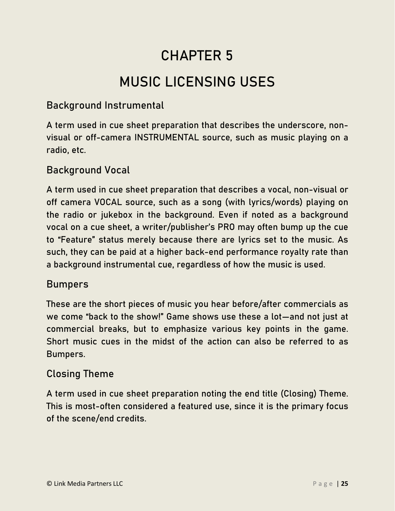## CHAPTER 5

## MUSIC LICENSING USES

#### <span id="page-24-0"></span>Background Instrumental

A term used in cue sheet preparation that describes the underscore, nonvisual or off-camera INSTRUMENTAL source, such as music playing on a radio, etc.

#### Background Vocal

A term used in cue sheet preparation that describes a vocal, non-visual or off camera VOCAL source, such as a song (with lyrics/words) playing on the radio or jukebox in the background. Even if noted as a background vocal on a cue sheet, a writer/publisher's PRO may often bump up the cue to "Feature" status merely because there are lyrics set to the music. As such, they can be paid at a higher back-end performance royalty rate than a background instrumental cue, regardless of how the music is used.

#### Bumpers

These are the short pieces of music you hear before/after commercials as we come "back to the show!" Game shows use these a lot—and not just at commercial breaks, but to emphasize various key points in the game. Short music cues in the midst of the action can also be referred to as Bumpers.

#### Closing Theme

A term used in cue sheet preparation noting the end title (Closing) Theme. This is most-often considered a featured use, since it is the primary focus of the scene/end credits.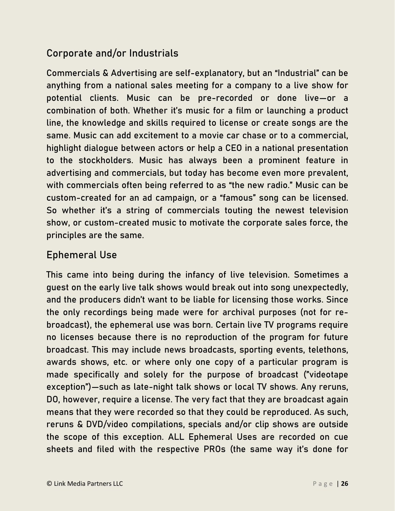#### Corporate and/or Industrials

Commercials & Advertising are self-explanatory, but an "Industrial" can be anything from a national sales meeting for a company to a live show for potential clients. Music can be pre-recorded or done live—or a combination of both. Whether it's music for a film or launching a product line, the knowledge and skills required to license or create songs are the same. Music can add excitement to a movie car chase or to a commercial, highlight dialogue between actors or help a CEO in a national presentation to the stockholders. Music has always been a prominent feature in advertising and commercials, but today has become even more prevalent, with commercials often being referred to as "the new radio." Music can be custom-created for an ad campaign, or a "famous" song can be licensed. So whether it's a string of commercials touting the newest television show, or custom-created music to motivate the corporate sales force, the principles are the same.

#### Ephemeral Use

This came into being during the infancy of live television. Sometimes a guest on the early live talk shows would break out into song unexpectedly, and the producers didn't want to be liable for licensing those works. Since the only recordings being made were for archival purposes (not for rebroadcast), the ephemeral use was born. Certain live TV programs require no licenses because there is no reproduction of the program for future broadcast. This may include news broadcasts, sporting events, telethons, awards shows, etc. or where only one copy of a particular program is made specifically and solely for the purpose of broadcast ("videotape exception")—such as late-night talk shows or local TV shows. Any reruns, DO, however, require a license. The very fact that they are broadcast again means that they were recorded so that they could be reproduced. As such, reruns & DVD/video compilations, specials and/or clip shows are outside the scope of this exception. ALL Ephemeral Uses are recorded on cue sheets and filed with the respective PROs (the same way it's done for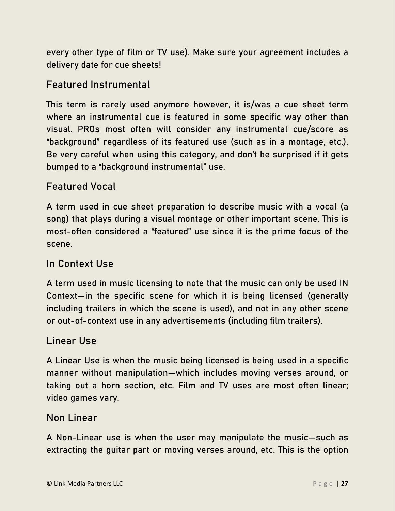every other type of film or TV use). Make sure your agreement includes a delivery date for cue sheets!

#### Featured Instrumental

This term is rarely used anymore however, it is/was a cue sheet term where an instrumental cue is featured in some specific way other than visual. PROs most often will consider any instrumental cue/score as "background" regardless of its featured use (such as in a montage, etc.). Be very careful when using this category, and don't be surprised if it gets bumped to a "background instrumental" use.

#### Featured Vocal

A term used in cue sheet preparation to describe music with a vocal (a song) that plays during a visual montage or other important scene. This is most-often considered a "featured" use since it is the prime focus of the scene.

#### In Context Use

A term used in music licensing to note that the music can only be used IN Context—in the specific scene for which it is being licensed (generally including trailers in which the scene is used), and not in any other scene or out-of-context use in any advertisements (including film trailers).

#### Linear Use

A Linear Use is when the music being licensed is being used in a specific manner without manipulation—which includes moving verses around, or taking out a horn section, etc. Film and TV uses are most often linear; video games vary.

#### Non Linear

A Non-Linear use is when the user may manipulate the music—such as extracting the guitar part or moving verses around, etc. This is the option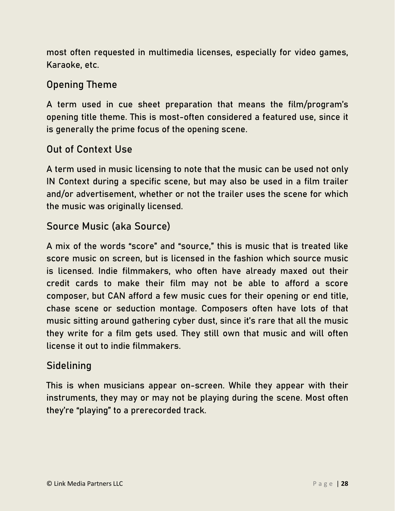most often requested in multimedia licenses, especially for video games, Karaoke, etc.

#### Opening Theme

A term used in cue sheet preparation that means the film/program's opening title theme. This is most-often considered a featured use, since it is generally the prime focus of the opening scene.

#### Out of Context Use

A term used in music licensing to note that the music can be used not only IN Context during a specific scene, but may also be used in a film trailer and/or advertisement, whether or not the trailer uses the scene for which the music was originally licensed.

#### Source Music (aka Source)

A mix of the words "score" and "source," this is music that is treated like score music on screen, but is licensed in the fashion which source music is licensed. Indie filmmakers, who often have already maxed out their credit cards to make their film may not be able to afford a score composer, but CAN afford a few music cues for their opening or end title, chase scene or seduction montage. Composers often have lots of that music sitting around gathering cyber dust, since it's rare that all the music they write for a film gets used. They still own that music and will often license it out to indie filmmakers.

#### **Sidelining**

This is when musicians appear on-screen. While they appear with their instruments, they may or may not be playing during the scene. Most often they're "playing" to a prerecorded track.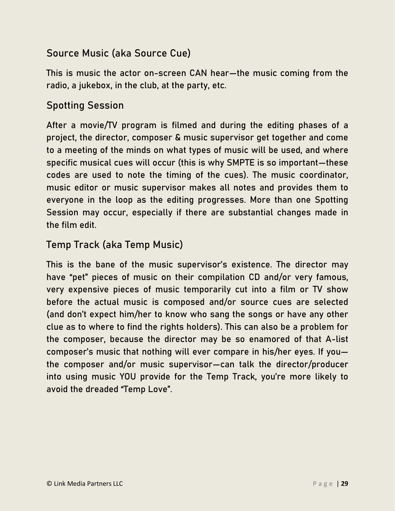#### Source Music (aka Source Cue)

This is music the actor on-screen CAN hear—the music coming from the radio, a jukebox, in the club, at the party, etc.

#### Spotting Session

After a movie/TV program is filmed and during the editing phases of a project, the director, composer & music supervisor get together and come to a meeting of the minds on what types of music will be used, and where specific musical cues will occur (this is why SMPTE is so important—these codes are used to note the timing of the cues). The music coordinator, music editor or music supervisor makes all notes and provides them to everyone in the loop as the editing progresses. More than one Spotting Session may occur, especially if there are substantial changes made in the film edit.

#### Temp Track (aka Temp Music)

This is the bane of the music supervisor's existence. The director may have "pet" pieces of music on their compilation CD and/or very famous, very expensive pieces of music temporarily cut into a film or TV show before the actual music is composed and/or source cues are selected (and don't expect him/her to know who sang the songs or have any other clue as to where to find the rights holders). This can also be a problem for the composer, because the director may be so enamored of that A-list composer's music that nothing will ever compare in his/her eyes. If you the composer and/or music supervisor—can talk the director/producer into using music YOU provide for the Temp Track, you're more likely to avoid the dreaded "Temp Love".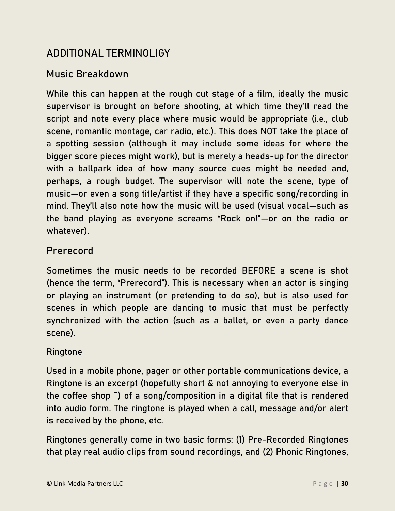#### ADDITIONAL TERMINOLIGY

#### Music Breakdown

While this can happen at the rough cut stage of a film, ideally the music supervisor is brought on before shooting, at which time they'll read the script and note every place where music would be appropriate (i.e., club scene, romantic montage, car radio, etc.). This does NOT take the place of a spotting session (although it may include some ideas for where the bigger score pieces might work), but is merely a heads-up for the director with a ballpark idea of how many source cues might be needed and, perhaps, a rough budget. The supervisor will note the scene, type of music—or even a song title/artist if they have a specific song/recording in mind. They'll also note how the music will be used (visual vocal—such as the band playing as everyone screams "Rock on!"—or on the radio or whatever).

#### Prerecord

Sometimes the music needs to be recorded BEFORE a scene is shot (hence the term, "Prerecord"). This is necessary when an actor is singing or playing an instrument (or pretending to do so), but is also used for scenes in which people are dancing to music that must be perfectly synchronized with the action (such as a ballet, or even a party dance scene).

#### Ringtone

Used in a mobile phone, pager or other portable communications device, a Ringtone is an excerpt (hopefully short & not annoying to everyone else in the coffee shop ¯) of a song/composition in a digital file that is rendered into audio form. The ringtone is played when a call, message and/or alert is received by the phone, etc.

Ringtones generally come in two basic forms: (1) Pre-Recorded Ringtones that play real audio clips from sound recordings, and (2) Phonic Ringtones,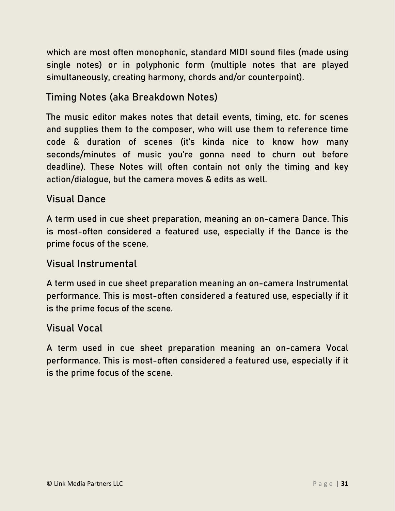which are most often monophonic, standard MIDI sound files (made using single notes) or in polyphonic form (multiple notes that are played simultaneously, creating harmony, chords and/or counterpoint).

#### Timing Notes (aka Breakdown Notes)

The music editor makes notes that detail events, timing, etc. for scenes and supplies them to the composer, who will use them to reference time code & duration of scenes (it's kinda nice to know how many seconds/minutes of music you're gonna need to churn out before deadline). These Notes will often contain not only the timing and key action/dialogue, but the camera moves & edits as well.

#### Visual Dance

A term used in cue sheet preparation, meaning an on-camera Dance. This is most-often considered a featured use, especially if the Dance is the prime focus of the scene.

#### Visual Instrumental

A term used in cue sheet preparation meaning an on-camera Instrumental performance. This is most-often considered a featured use, especially if it is the prime focus of the scene.

#### Visual Vocal

A term used in cue sheet preparation meaning an on-camera Vocal performance. This is most-often considered a featured use, especially if it is the prime focus of the scene.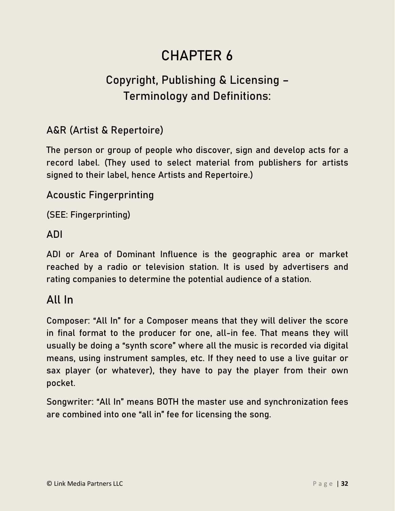## CHAPTER 6

## <span id="page-31-0"></span>Copyright, Publishing & Licensing – Terminology and Definitions:

#### A&R (Artist & Repertoire)

The person or group of people who discover, sign and develop acts for a record label. (They used to select material from publishers for artists signed to their label, hence Artists and Repertoire.)

#### Acoustic Fingerprinting

(SEE: Fingerprinting)

#### ADI

ADI or Area of Dominant Influence is the geographic area or market reached by a radio or television station. It is used by advertisers and rating companies to determine the potential audience of a station.

#### All In

Composer: "All In" for a Composer means that they will deliver the score in final format to the producer for one, all-in fee. That means they will usually be doing a "synth score" where all the music is recorded via digital means, using instrument samples, etc. If they need to use a live guitar or sax player (or whatever), they have to pay the player from their own pocket.

Songwriter: "All In" means BOTH the master use and synchronization fees are combined into one "all in" fee for licensing the song.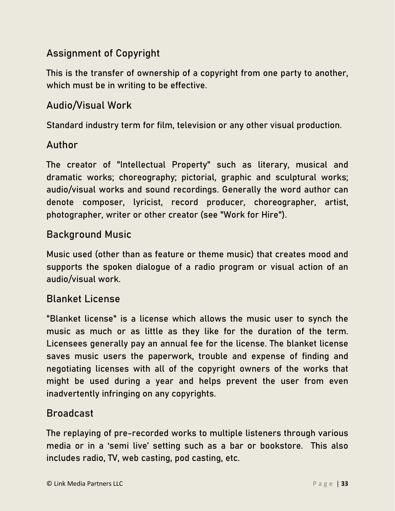#### Assignment of Copyright

This is the transfer of ownership of a copyright from one party to another, which must be in writing to be effective.

#### Audio/Visual Work

Standard industry term for film, television or any other visual production.

#### Author

The creator of "Intellectual Property" such as literary, musical and dramatic works; choreography; pictorial, graphic and sculptural works; audio/visual works and sound recordings. Generally the word author can denote composer, lyricist, record producer, choreographer, artist, photographer, writer or other creator (see "Work for Hire").

#### Background Music

Music used (other than as feature or theme music) that creates mood and supports the spoken dialogue of a radio program or visual action of an audio/visual work.

#### Blanket License

"Blanket license" is a license which allows the music user to synch the music as much or as little as they like for the duration of the term. Licensees generally pay an annual fee for the license. The blanket license saves music users the paperwork, trouble and expense of finding and negotiating licenses with all of the copyright owners of the works that might be used during a year and helps prevent the user from even inadvertently infringing on any copyrights.

#### Broadcast

The replaying of pre-recorded works to multiple listeners through various media or in a 'semi live' setting such as a bar or bookstore. This also includes radio, TV, web casting, pod casting, etc.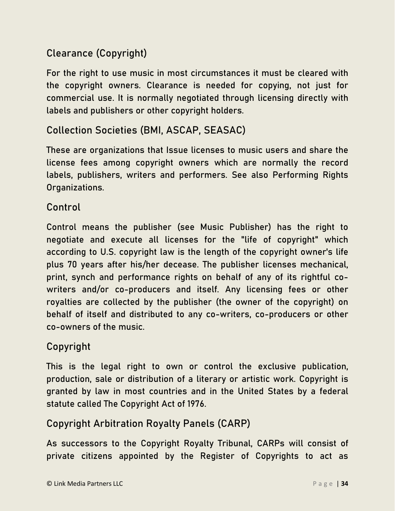#### Clearance (Copyright)

For the right to use music in most circumstances it must be cleared with the copyright owners. Clearance is needed for copying, not just for commercial use. It is normally negotiated through licensing directly with labels and publishers or other copyright holders.

#### Collection Societies (BMI, ASCAP, SEASAC)

These are organizations that Issue licenses to music users and share the license fees among copyright owners which are normally the record labels, publishers, writers and performers. See also Performing Rights Organizations.

#### Control

Control means the publisher (see Music Publisher) has the right to negotiate and execute all licenses for the "life of copyright" which according to U.S. copyright law is the length of the copyright owner's life plus 70 years after his/her decease. The publisher licenses mechanical, print, synch and performance rights on behalf of any of its rightful cowriters and/or co-producers and itself. Any licensing fees or other royalties are collected by the publisher (the owner of the copyright) on behalf of itself and distributed to any co-writers, co-producers or other co-owners of the music.

#### Copyright

This is the legal right to own or control the exclusive publication, production, sale or distribution of a literary or artistic work. Copyright is granted by law in most countries and in the United States by a federal statute called The Copyright Act of 1976.

#### Copyright Arbitration Royalty Panels (CARP)

As successors to the Copyright Royalty Tribunal, CARPs will consist of private citizens appointed by the Register of Copyrights to act as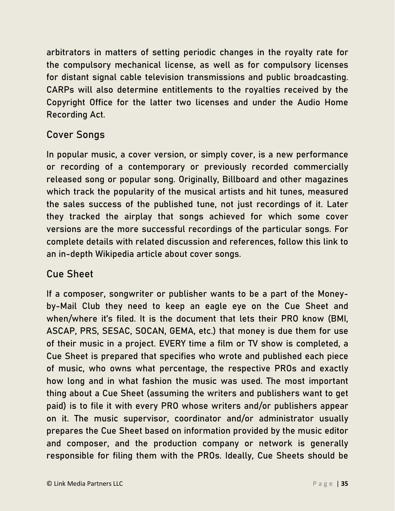arbitrators in matters of setting periodic changes in the royalty rate for the compulsory mechanical license, as well as for compulsory licenses for distant signal cable television transmissions and public broadcasting. CARPs will also determine entitlements to the royalties received by the Copyright Office for the latter two licenses and under the Audio Home Recording Act.

#### Cover Songs

In popular music, a cover version, or simply cover, is a new performance or recording of a contemporary or previously recorded commercially released song or popular song. Originally, Billboard and other magazines which track the popularity of the musical artists and hit tunes, measured the sales success of the published tune, not just recordings of it. Later they tracked the airplay that songs achieved for which some cover versions are the more successful recordings of the particular songs. For complete details with related discussion and references, follow this link to an in-depth Wikipedia article about cover songs.

#### Cue Sheet

If a composer, songwriter or publisher wants to be a part of the Moneyby-Mail Club they need to keep an eagle eye on the Cue Sheet and when/where it's filed. It is the document that lets their PRO know (BMI, ASCAP, PRS, SESAC, SOCAN, GEMA, etc.) that money is due them for use of their music in a project. EVERY time a film or TV show is completed, a Cue Sheet is prepared that specifies who wrote and published each piece of music, who owns what percentage, the respective PROs and exactly how long and in what fashion the music was used. The most important thing about a Cue Sheet (assuming the writers and publishers want to get paid) is to file it with every PRO whose writers and/or publishers appear on it. The music supervisor, coordinator and/or administrator usually prepares the Cue Sheet based on information provided by the music editor and composer, and the production company or network is generally responsible for filing them with the PROs. Ideally, Cue Sheets should be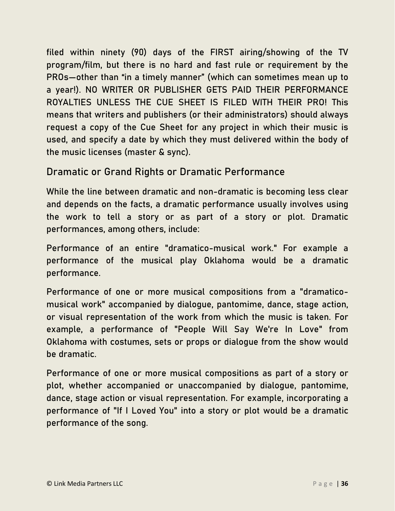filed within ninety (90) days of the FIRST airing/showing of the TV program/film, but there is no hard and fast rule or requirement by the PROs—other than "in a timely manner" (which can sometimes mean up to a year!). NO WRITER OR PUBLISHER GETS PAID THEIR PERFORMANCE ROYALTIES UNLESS THE CUE SHEET IS FILED WITH THEIR PRO! This means that writers and publishers (or their administrators) should always request a copy of the Cue Sheet for any project in which their music is used, and specify a date by which they must delivered within the body of the music licenses (master & sync).

#### Dramatic or Grand Rights or Dramatic Performance

While the line between dramatic and non-dramatic is becoming less clear and depends on the facts, a dramatic performance usually involves using the work to tell a story or as part of a story or plot. Dramatic performances, among others, include:

Performance of an entire "dramatico-musical work." For example a performance of the musical play Oklahoma would be a dramatic performance.

Performance of one or more musical compositions from a "dramaticomusical work" accompanied by dialogue, pantomime, dance, stage action, or visual representation of the work from which the music is taken. For example, a performance of "People Will Say We're In Love" from Oklahoma with costumes, sets or props or dialogue from the show would be dramatic.

Performance of one or more musical compositions as part of a story or plot, whether accompanied or unaccompanied by dialogue, pantomime, dance, stage action or visual representation. For example, incorporating a performance of "If I Loved You" into a story or plot would be a dramatic performance of the song.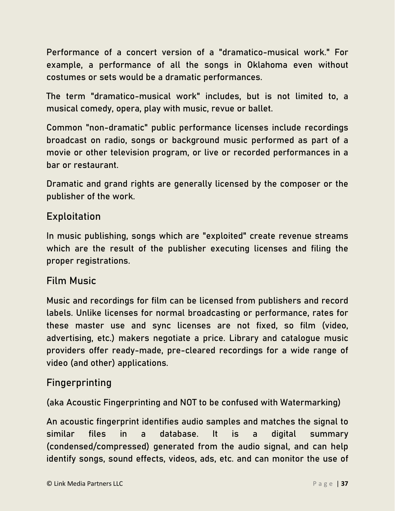Performance of a concert version of a "dramatico-musical work." For example, a performance of all the songs in Oklahoma even without costumes or sets would be a dramatic performances.

The term "dramatico-musical work" includes, but is not limited to, a musical comedy, opera, play with music, revue or ballet.

Common "non-dramatic" public performance licenses include recordings broadcast on radio, songs or background music performed as part of a movie or other television program, or live or recorded performances in a bar or restaurant.

Dramatic and grand rights are generally licensed by the composer or the publisher of the work.

#### Exploitation

In music publishing, songs which are "exploited" create revenue streams which are the result of the publisher executing licenses and filing the proper registrations.

#### Film Music

Music and recordings for film can be licensed from publishers and record labels. Unlike licenses for normal broadcasting or performance, rates for these master use and sync licenses are not fixed, so film (video, advertising, etc.) makers negotiate a price. Library and catalogue music providers offer ready-made, pre-cleared recordings for a wide range of video (and other) applications.

#### Fingerprinting

(aka Acoustic Fingerprinting and NOT to be confused with Watermarking)

An acoustic fingerprint identifies audio samples and matches the signal to similar files in a database. It is a digital summary (condensed/compressed) generated from the audio signal, and can help identify songs, sound effects, videos, ads, etc. and can monitor the use of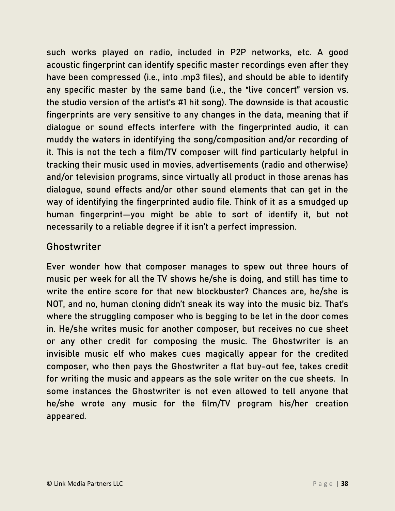such works played on radio, included in P2P networks, etc. A good acoustic fingerprint can identify specific master recordings even after they have been compressed (i.e., into .mp3 files), and should be able to identify any specific master by the same band (i.e., the "live concert" version vs. the studio version of the artist's #1 hit song). The downside is that acoustic fingerprints are very sensitive to any changes in the data, meaning that if dialogue or sound effects interfere with the fingerprinted audio, it can muddy the waters in identifying the song/composition and/or recording of it. This is not the tech a film/TV composer will find particularly helpful in tracking their music used in movies, advertisements (radio and otherwise) and/or television programs, since virtually all product in those arenas has dialogue, sound effects and/or other sound elements that can get in the way of identifying the fingerprinted audio file. Think of it as a smudged up human fingerprint—you might be able to sort of identify it, but not necessarily to a reliable degree if it isn't a perfect impression.

#### Ghostwriter

Ever wonder how that composer manages to spew out three hours of music per week for all the TV shows he/she is doing, and still has time to write the entire score for that new blockbuster? Chances are, he/she is NOT, and no, human cloning didn't sneak its way into the music biz. That's where the struggling composer who is begging to be let in the door comes in. He/she writes music for another composer, but receives no cue sheet or any other credit for composing the music. The Ghostwriter is an invisible music elf who makes cues magically appear for the credited composer, who then pays the Ghostwriter a flat buy-out fee, takes credit for writing the music and appears as the sole writer on the cue sheets. In some instances the Ghostwriter is not even allowed to tell anyone that he/she wrote any music for the film/TV program his/her creation appeared.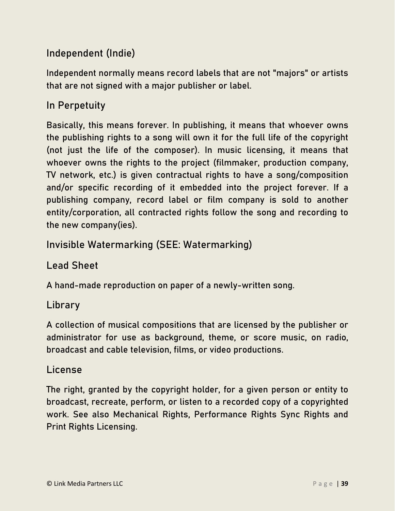#### Independent (Indie)

Independent normally means record labels that are not "majors" or artists that are not signed with a major publisher or label.

#### In Perpetuity

Basically, this means forever. In publishing, it means that whoever owns the publishing rights to a song will own it for the full life of the copyright (not just the life of the composer). In music licensing, it means that whoever owns the rights to the project (filmmaker, production company, TV network, etc.) is given contractual rights to have a song/composition and/or specific recording of it embedded into the project forever. If a publishing company, record label or film company is sold to another entity/corporation, all contracted rights follow the song and recording to the new company(ies).

#### Invisible Watermarking (SEE: Watermarking)

#### Lead Sheet

A hand-made reproduction on paper of a newly-written song.

#### **Library**

A collection of musical compositions that are licensed by the publisher or administrator for use as background, theme, or score music, on radio, broadcast and cable television, films, or video productions.

#### License

The right, granted by the copyright holder, for a given person or entity to broadcast, recreate, perform, or listen to a recorded copy of a copyrighted work. See also Mechanical Rights, Performance Rights Sync Rights and Print Rights Licensing.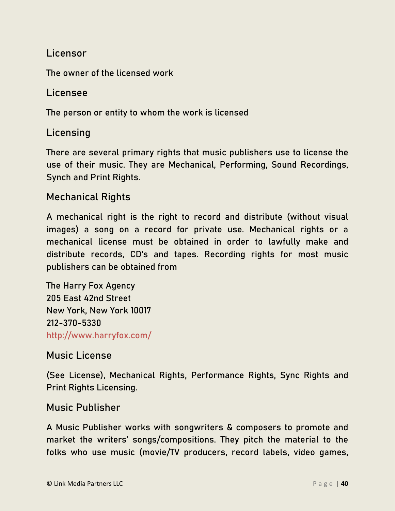#### Licensor

The owner of the licensed work

#### Licensee

The person or entity to whom the work is licensed

#### Licensing

There are several primary rights that music publishers use to license the use of their music. They are Mechanical, Performing, Sound Recordings, Synch and Print Rights.

#### Mechanical Rights

A mechanical right is the right to record and distribute (without visual images) a song on a record for private use. Mechanical rights or a mechanical license must be obtained in order to lawfully make and distribute records, CD's and tapes. Recording rights for most music publishers can be obtained from

The Harry Fox Agency 205 East 42nd Street New York, New York 10017 212-370-5330 <http://www.harryfox.com/>

#### Music License

(See License), Mechanical Rights, Performance Rights, Sync Rights and Print Rights Licensing.

#### Music Publisher

A Music Publisher works with songwriters & composers to promote and market the writers' songs/compositions. They pitch the material to the folks who use music (movie/TV producers, record labels, video games,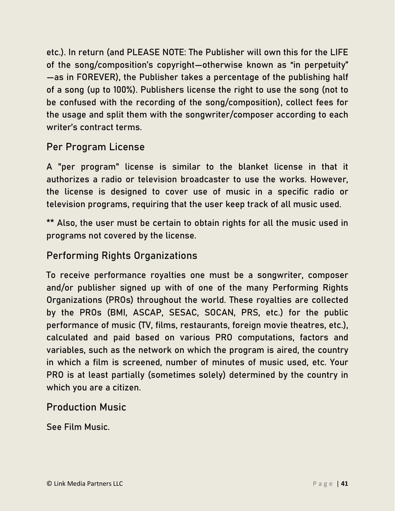etc.). In return (and PLEASE NOTE: The Publisher will own this for the LIFE of the song/composition's copyright—otherwise known as "in perpetuity" —as in FOREVER), the Publisher takes a percentage of the publishing half of a song (up to 100%). Publishers license the right to use the song (not to be confused with the recording of the song/composition), collect fees for the usage and split them with the songwriter/composer according to each writer's contract terms.

#### Per Program License

A "per program" license is similar to the blanket license in that it authorizes a radio or television broadcaster to use the works. However, the license is designed to cover use of music in a specific radio or television programs, requiring that the user keep track of all music used.

\*\* Also, the user must be certain to obtain rights for all the music used in programs not covered by the license.

#### Performing Rights Organizations

To receive performance royalties one must be a songwriter, composer and/or publisher signed up with of one of the many Performing Rights Organizations (PROs) throughout the world. These royalties are collected by the PROs (BMI, ASCAP, SESAC, SOCAN, PRS, etc.) for the public performance of music (TV, films, restaurants, foreign movie theatres, etc.), calculated and paid based on various PRO computations, factors and variables, such as the network on which the program is aired, the country in which a film is screened, number of minutes of music used, etc. Your PRO is at least partially (sometimes solely) determined by the country in which you are a citizen.

#### Production Music

See Film Music.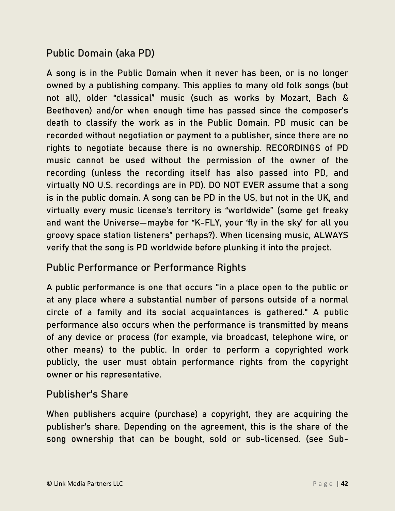#### Public Domain (aka PD)

A song is in the Public Domain when it never has been, or is no longer owned by a publishing company. This applies to many old folk songs (but not all), older "classical" music (such as works by Mozart, Bach & Beethoven) and/or when enough time has passed since the composer's death to classify the work as in the Public Domain. PD music can be recorded without negotiation or payment to a publisher, since there are no rights to negotiate because there is no ownership. RECORDINGS of PD music cannot be used without the permission of the owner of the recording (unless the recording itself has also passed into PD, and virtually NO U.S. recordings are in PD). DO NOT EVER assume that a song is in the public domain. A song can be PD in the US, but not in the UK, and virtually every music license's territory is "worldwide" (some get freaky and want the Universe—maybe for "K-FLY, your 'fly in the sky' for all you groovy space station listeners" perhaps?). When licensing music, ALWAYS verify that the song is PD worldwide before plunking it into the project.

#### Public Performance or Performance Rights

A public performance is one that occurs "in a place open to the public or at any place where a substantial number of persons outside of a normal circle of a family and its social acquaintances is gathered." A public performance also occurs when the performance is transmitted by means of any device or process (for example, via broadcast, telephone wire, or other means) to the public. In order to perform a copyrighted work publicly, the user must obtain performance rights from the copyright owner or his representative.

#### Publisher's Share

When publishers acquire (purchase) a copyright, they are acquiring the publisher's share. Depending on the agreement, this is the share of the song ownership that can be bought, sold or sub-licensed. (see Sub-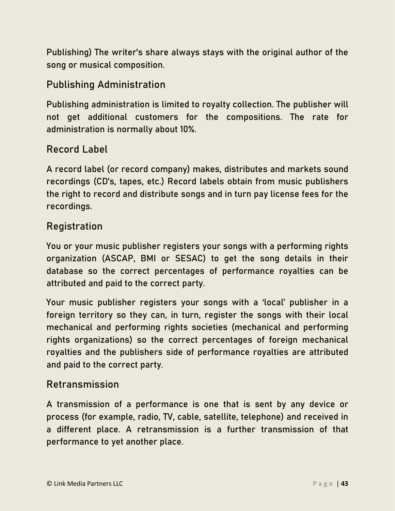Publishing) The writer's share always stays with the original author of the song or musical composition.

#### Publishing Administration

Publishing administration is limited to royalty collection. The publisher will not get additional customers for the compositions. The rate for administration is normally about 10%.

#### Record Label

A record label (or record company) makes, distributes and markets sound recordings (CD's, tapes, etc.) Record labels obtain from music publishers the right to record and distribute songs and in turn pay license fees for the recordings.

#### Registration

You or your music publisher registers your songs with a performing rights organization (ASCAP, BMI or SESAC) to get the song details in their database so the correct percentages of performance royalties can be attributed and paid to the correct party.

Your music publisher registers your songs with a 'local' publisher in a foreign territory so they can, in turn, register the songs with their local mechanical and performing rights societies (mechanical and performing rights organizations) so the correct percentages of foreign mechanical royalties and the publishers side of performance royalties are attributed and paid to the correct party.

#### Retransmission

A transmission of a performance is one that is sent by any device or process (for example, radio, TV, cable, satellite, telephone) and received in a different place. A retransmission is a further transmission of that performance to yet another place.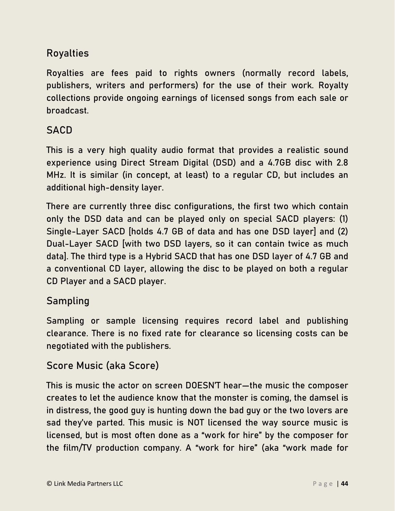#### Royalties

Royalties are fees paid to rights owners (normally record labels, publishers, writers and performers) for the use of their work. Royalty collections provide ongoing earnings of licensed songs from each sale or broadcast.

#### **SACD**

This is a very high quality audio format that provides a realistic sound experience using Direct Stream Digital (DSD) and a 4.7GB disc with 2.8 MHz. It is similar (in concept, at least) to a regular CD, but includes an additional high-density layer.

There are currently three disc configurations, the first two which contain only the DSD data and can be played only on special SACD players: (1) Single-Layer SACD [holds 4.7 GB of data and has one DSD layer] and (2) Dual-Layer SACD [with two DSD layers, so it can contain twice as much data]. The third type is a Hybrid SACD that has one DSD layer of 4.7 GB and a conventional CD layer, allowing the disc to be played on both a regular CD Player and a SACD player.

#### Sampling

Sampling or sample licensing requires record label and publishing clearance. There is no fixed rate for clearance so licensing costs can be negotiated with the publishers.

#### Score Music (aka Score)

This is music the actor on screen DOESN'T hear—the music the composer creates to let the audience know that the monster is coming, the damsel is in distress, the good guy is hunting down the bad guy or the two lovers are sad they've parted. This music is NOT licensed the way source music is licensed, but is most often done as a "work for hire" by the composer for the film/TV production company. A "work for hire" (aka "work made for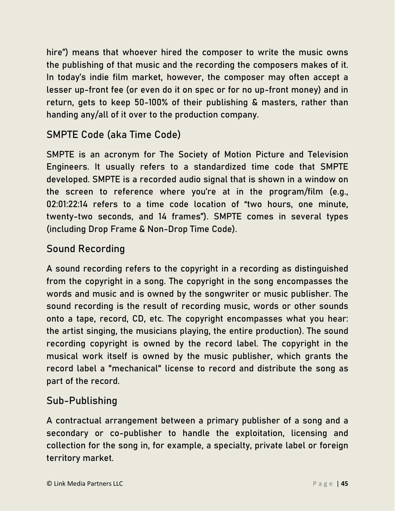hire") means that whoever hired the composer to write the music owns the publishing of that music and the recording the composers makes of it. In today's indie film market, however, the composer may often accept a lesser up-front fee (or even do it on spec or for no up-front money) and in return, gets to keep 50-100% of their publishing & masters, rather than handing any/all of it over to the production company.

#### SMPTE Code (aka Time Code)

SMPTE is an acronym for The Society of Motion Picture and Television Engineers. It usually refers to a standardized time code that SMPTE developed. SMPTE is a recorded audio signal that is shown in a window on the screen to reference where you're at in the program/film (e.g., 02:01:22:14 refers to a time code location of "two hours, one minute, twenty-two seconds, and 14 frames"). SMPTE comes in several types (including Drop Frame & Non-Drop Time Code).

#### Sound Recording

A sound recording refers to the copyright in a recording as distinguished from the copyright in a song. The copyright in the song encompasses the words and music and is owned by the songwriter or music publisher. The sound recording is the result of recording music, words or other sounds onto a tape, record, CD, etc. The copyright encompasses what you hear: the artist singing, the musicians playing, the entire production). The sound recording copyright is owned by the record label. The copyright in the musical work itself is owned by the music publisher, which grants the record label a "mechanical" license to record and distribute the song as part of the record.

#### Sub-Publishing

A contractual arrangement between a primary publisher of a song and a secondary or co-publisher to handle the exploitation, licensing and collection for the song in, for example, a specialty, private label or foreign territory market.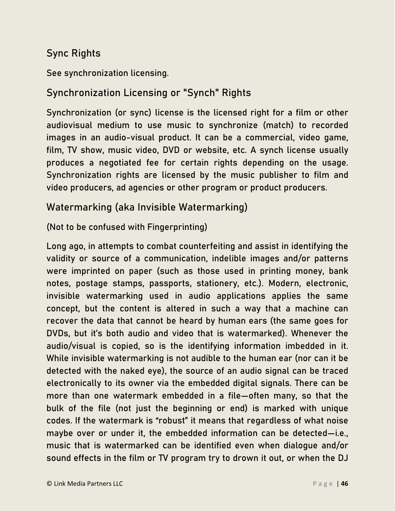#### Sync Rights

See synchronization licensing.

#### Synchronization Licensing or "Synch" Rights

Synchronization (or sync) license is the licensed right for a film or other audiovisual medium to use music to synchronize (match) to recorded images in an audio-visual product. It can be a commercial, video game, film, TV show, music video, DVD or website, etc. A synch license usually produces a negotiated fee for certain rights depending on the usage. Synchronization rights are licensed by the music publisher to film and video producers, ad agencies or other program or product producers.

#### Watermarking (aka Invisible Watermarking)

#### (Not to be confused with Fingerprinting)

Long ago, in attempts to combat counterfeiting and assist in identifying the validity or source of a communication, indelible images and/or patterns were imprinted on paper (such as those used in printing money, bank notes, postage stamps, passports, stationery, etc.). Modern, electronic, invisible watermarking used in audio applications applies the same concept, but the content is altered in such a way that a machine can recover the data that cannot be heard by human ears (the same goes for DVDs, but it's both audio and video that is watermarked). Whenever the audio/visual is copied, so is the identifying information imbedded in it. While invisible watermarking is not audible to the human ear (nor can it be detected with the naked eye), the source of an audio signal can be traced electronically to its owner via the embedded digital signals. There can be more than one watermark embedded in a file—often many, so that the bulk of the file (not just the beginning or end) is marked with unique codes. If the watermark is "robust" it means that regardless of what noise maybe over or under it, the embedded information can be detected—i.e., music that is watermarked can be identified even when dialogue and/or sound effects in the film or TV program try to drown it out, or when the DJ